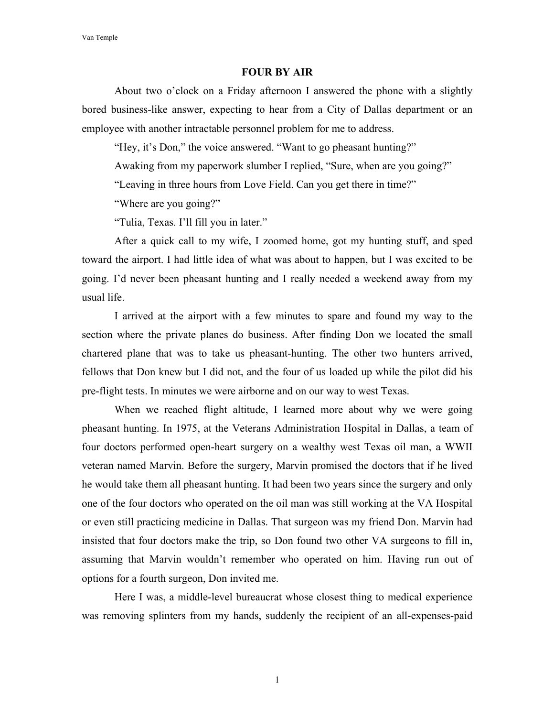Van Temple

## **FOUR BY AIR**

About two o'clock on a Friday afternoon I answered the phone with a slightly bored business-like answer, expecting to hear from a City of Dallas department or an employee with another intractable personnel problem for me to address.

"Hey, it's Don," the voice answered. "Want to go pheasant hunting?"

Awaking from my paperwork slumber I replied, "Sure, when are you going?"

"Leaving in three hours from Love Field. Can you get there in time?"

"Where are you going?"

"Tulia, Texas. I'll fill you in later."

After a quick call to my wife, I zoomed home, got my hunting stuff, and sped toward the airport. I had little idea of what was about to happen, but I was excited to be going. I'd never been pheasant hunting and I really needed a weekend away from my usual life.

I arrived at the airport with a few minutes to spare and found my way to the section where the private planes do business. After finding Don we located the small chartered plane that was to take us pheasant-hunting. The other two hunters arrived, fellows that Don knew but I did not, and the four of us loaded up while the pilot did his pre-flight tests. In minutes we were airborne and on our way to west Texas.

When we reached flight altitude, I learned more about why we were going pheasant hunting. In 1975, at the Veterans Administration Hospital in Dallas, a team of four doctors performed open-heart surgery on a wealthy west Texas oil man, a WWII veteran named Marvin. Before the surgery, Marvin promised the doctors that if he lived he would take them all pheasant hunting. It had been two years since the surgery and only one of the four doctors who operated on the oil man was still working at the VA Hospital or even still practicing medicine in Dallas. That surgeon was my friend Don. Marvin had insisted that four doctors make the trip, so Don found two other VA surgeons to fill in, assuming that Marvin wouldn't remember who operated on him. Having run out of options for a fourth surgeon, Don invited me.

Here I was, a middle-level bureaucrat whose closest thing to medical experience was removing splinters from my hands, suddenly the recipient of an all-expenses-paid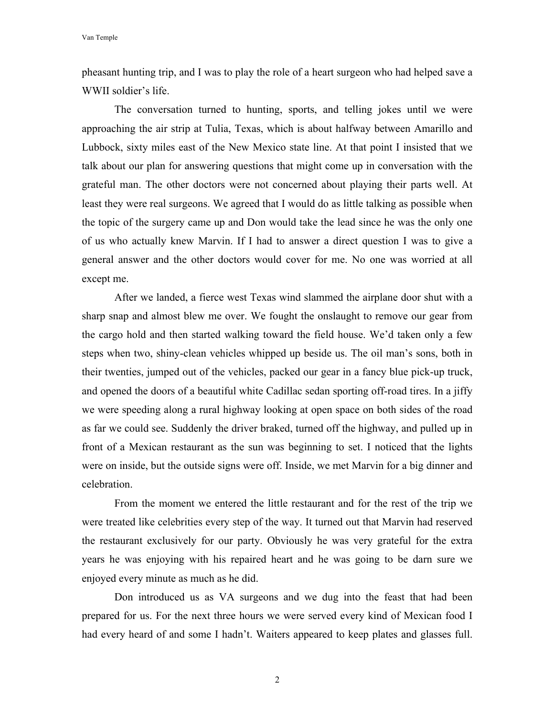Van Temple

pheasant hunting trip, and I was to play the role of a heart surgeon who had helped save a WWII soldier's life.

The conversation turned to hunting, sports, and telling jokes until we were approaching the air strip at Tulia, Texas, which is about halfway between Amarillo and Lubbock, sixty miles east of the New Mexico state line. At that point I insisted that we talk about our plan for answering questions that might come up in conversation with the grateful man. The other doctors were not concerned about playing their parts well. At least they were real surgeons. We agreed that I would do as little talking as possible when the topic of the surgery came up and Don would take the lead since he was the only one of us who actually knew Marvin. If I had to answer a direct question I was to give a general answer and the other doctors would cover for me. No one was worried at all except me.

After we landed, a fierce west Texas wind slammed the airplane door shut with a sharp snap and almost blew me over. We fought the onslaught to remove our gear from the cargo hold and then started walking toward the field house. We'd taken only a few steps when two, shiny-clean vehicles whipped up beside us. The oil man's sons, both in their twenties, jumped out of the vehicles, packed our gear in a fancy blue pick-up truck, and opened the doors of a beautiful white Cadillac sedan sporting off-road tires. In a jiffy we were speeding along a rural highway looking at open space on both sides of the road as far we could see. Suddenly the driver braked, turned off the highway, and pulled up in front of a Mexican restaurant as the sun was beginning to set. I noticed that the lights were on inside, but the outside signs were off. Inside, we met Marvin for a big dinner and celebration.

From the moment we entered the little restaurant and for the rest of the trip we were treated like celebrities every step of the way. It turned out that Marvin had reserved the restaurant exclusively for our party. Obviously he was very grateful for the extra years he was enjoying with his repaired heart and he was going to be darn sure we enjoyed every minute as much as he did.

Don introduced us as VA surgeons and we dug into the feast that had been prepared for us. For the next three hours we were served every kind of Mexican food I had every heard of and some I hadn't. Waiters appeared to keep plates and glasses full.

2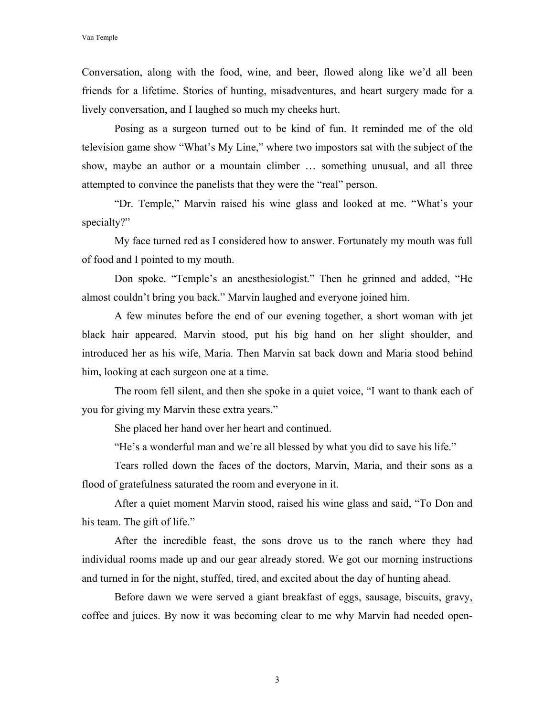Conversation, along with the food, wine, and beer, flowed along like we'd all been friends for a lifetime. Stories of hunting, misadventures, and heart surgery made for a lively conversation, and I laughed so much my cheeks hurt.

Posing as a surgeon turned out to be kind of fun. It reminded me of the old television game show "What's My Line," where two impostors sat with the subject of the show, maybe an author or a mountain climber … something unusual, and all three attempted to convince the panelists that they were the "real" person.

"Dr. Temple," Marvin raised his wine glass and looked at me. "What's your specialty?"

My face turned red as I considered how to answer. Fortunately my mouth was full of food and I pointed to my mouth.

Don spoke. "Temple's an anesthesiologist." Then he grinned and added, "He almost couldn't bring you back." Marvin laughed and everyone joined him.

A few minutes before the end of our evening together, a short woman with jet black hair appeared. Marvin stood, put his big hand on her slight shoulder, and introduced her as his wife, Maria. Then Marvin sat back down and Maria stood behind him, looking at each surgeon one at a time.

The room fell silent, and then she spoke in a quiet voice, "I want to thank each of you for giving my Marvin these extra years."

She placed her hand over her heart and continued.

"He's a wonderful man and we're all blessed by what you did to save his life."

Tears rolled down the faces of the doctors, Marvin, Maria, and their sons as a flood of gratefulness saturated the room and everyone in it.

After a quiet moment Marvin stood, raised his wine glass and said, "To Don and his team. The gift of life."

After the incredible feast, the sons drove us to the ranch where they had individual rooms made up and our gear already stored. We got our morning instructions and turned in for the night, stuffed, tired, and excited about the day of hunting ahead.

Before dawn we were served a giant breakfast of eggs, sausage, biscuits, gravy, coffee and juices. By now it was becoming clear to me why Marvin had needed open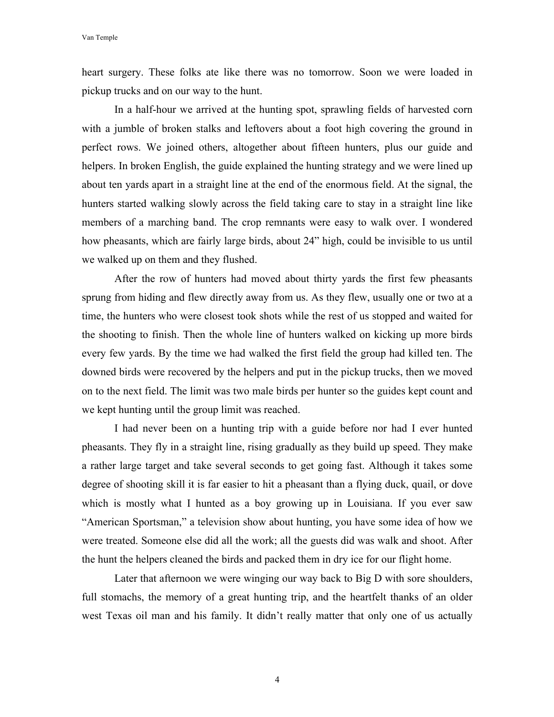heart surgery. These folks ate like there was no tomorrow. Soon we were loaded in pickup trucks and on our way to the hunt.

In a half-hour we arrived at the hunting spot, sprawling fields of harvested corn with a jumble of broken stalks and leftovers about a foot high covering the ground in perfect rows. We joined others, altogether about fifteen hunters, plus our guide and helpers. In broken English, the guide explained the hunting strategy and we were lined up about ten yards apart in a straight line at the end of the enormous field. At the signal, the hunters started walking slowly across the field taking care to stay in a straight line like members of a marching band. The crop remnants were easy to walk over. I wondered how pheasants, which are fairly large birds, about 24" high, could be invisible to us until we walked up on them and they flushed.

After the row of hunters had moved about thirty yards the first few pheasants sprung from hiding and flew directly away from us. As they flew, usually one or two at a time, the hunters who were closest took shots while the rest of us stopped and waited for the shooting to finish. Then the whole line of hunters walked on kicking up more birds every few yards. By the time we had walked the first field the group had killed ten. The downed birds were recovered by the helpers and put in the pickup trucks, then we moved on to the next field. The limit was two male birds per hunter so the guides kept count and we kept hunting until the group limit was reached.

I had never been on a hunting trip with a guide before nor had I ever hunted pheasants. They fly in a straight line, rising gradually as they build up speed. They make a rather large target and take several seconds to get going fast. Although it takes some degree of shooting skill it is far easier to hit a pheasant than a flying duck, quail, or dove which is mostly what I hunted as a boy growing up in Louisiana. If you ever saw "American Sportsman," a television show about hunting, you have some idea of how we were treated. Someone else did all the work; all the guests did was walk and shoot. After the hunt the helpers cleaned the birds and packed them in dry ice for our flight home.

Later that afternoon we were winging our way back to Big D with sore shoulders, full stomachs, the memory of a great hunting trip, and the heartfelt thanks of an older west Texas oil man and his family. It didn't really matter that only one of us actually